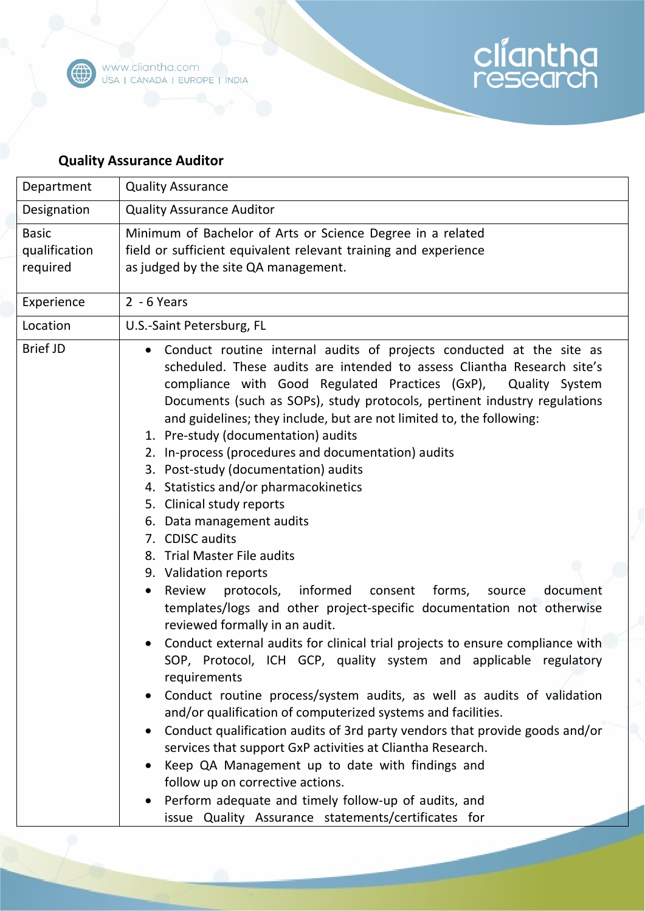

## **Quality Assurance Auditor**

| Department                                | <b>Quality Assurance</b>                                                                                                                                                                                                                                                                                                                                                                                                                                                                                                                                                                                        |
|-------------------------------------------|-----------------------------------------------------------------------------------------------------------------------------------------------------------------------------------------------------------------------------------------------------------------------------------------------------------------------------------------------------------------------------------------------------------------------------------------------------------------------------------------------------------------------------------------------------------------------------------------------------------------|
| Designation                               | <b>Quality Assurance Auditor</b>                                                                                                                                                                                                                                                                                                                                                                                                                                                                                                                                                                                |
| <b>Basic</b><br>qualification<br>required | Minimum of Bachelor of Arts or Science Degree in a related<br>field or sufficient equivalent relevant training and experience<br>as judged by the site QA management.                                                                                                                                                                                                                                                                                                                                                                                                                                           |
| Experience                                | $2 - 6$ Years                                                                                                                                                                                                                                                                                                                                                                                                                                                                                                                                                                                                   |
| Location                                  | U.S.-Saint Petersburg, FL                                                                                                                                                                                                                                                                                                                                                                                                                                                                                                                                                                                       |
| <b>Brief JD</b>                           | Conduct routine internal audits of projects conducted at the site as<br>scheduled. These audits are intended to assess Cliantha Research site's<br>compliance with Good Regulated Practices (GxP), Quality System<br>Documents (such as SOPs), study protocols, pertinent industry regulations<br>and guidelines; they include, but are not limited to, the following:<br>1. Pre-study (documentation) audits<br>2. In-process (procedures and documentation) audits<br>3. Post-study (documentation) audits<br>4. Statistics and/or pharmacokinetics<br>5. Clinical study reports<br>6. Data management audits |
|                                           | 7. CDISC audits<br>8. Trial Master File audits                                                                                                                                                                                                                                                                                                                                                                                                                                                                                                                                                                  |
|                                           | 9. Validation reports                                                                                                                                                                                                                                                                                                                                                                                                                                                                                                                                                                                           |
|                                           | protocols,<br>informed<br>forms,<br>Review<br>consent<br>source<br>document<br>$\bullet$<br>templates/logs and other project-specific documentation not otherwise<br>reviewed formally in an audit.                                                                                                                                                                                                                                                                                                                                                                                                             |
|                                           | Conduct external audits for clinical trial projects to ensure compliance with<br>Protocol, ICH GCP, quality system and applicable regulatory<br>SOP.<br>requirements                                                                                                                                                                                                                                                                                                                                                                                                                                            |
|                                           | Conduct routine process/system audits, as well as audits of validation<br>and/or qualification of computerized systems and facilities.                                                                                                                                                                                                                                                                                                                                                                                                                                                                          |
|                                           | Conduct qualification audits of 3rd party vendors that provide goods and/or<br>services that support GxP activities at Cliantha Research.<br>Keep QA Management up to date with findings and<br>follow up on corrective actions.                                                                                                                                                                                                                                                                                                                                                                                |
|                                           | Perform adequate and timely follow-up of audits, and<br>issue Quality Assurance statements/certificates for                                                                                                                                                                                                                                                                                                                                                                                                                                                                                                     |

cliantha